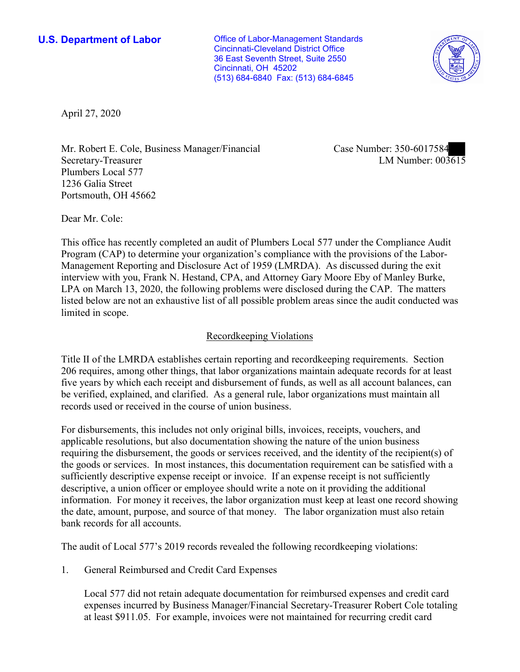**U.S. Department of Labor Conservative Conservative Conservative Conservative Conservative Conservative Conservative Conservative Conservative Conservative Conservative Conservative Conservative Conservative Conservative** Cincinnati-Cleveland District Office 36 East Seventh Street, Suite 2550 Cincinnati, OH 45202 (513) 684-6840 Fax: (513) 684-6845



April 27, 2020

Mr. Robert E. Cole, Business Manager/Financial Secretary-Treasurer Plumbers Local 577 1236 Galia Street Portsmouth, OH 45662

Case Number: 350-6017584<br>LM Number: 003615

Dear Mr. Cole:

 This office has recently completed an audit of Plumbers Local 577 under the Compliance Audit interview with you, Frank N. Hestand, CPA, and Attorney Gary Moore Eby of Manley Burke, listed below are not an exhaustive list of all possible problem areas since the audit conducted was Program (CAP) to determine your organization's compliance with the provisions of the Labor-Management Reporting and Disclosure Act of 1959 (LMRDA). As discussed during the exit LPA on March 13, 2020, the following problems were disclosed during the CAP. The matters limited in scope.

### Recordkeeping Violations

 Title II of the LMRDA establishes certain reporting and recordkeeping requirements. Section 206 requires, among other things, that labor organizations maintain adequate records for at least five years by which each receipt and disbursement of funds, as well as all account balances, can be verified, explained, and clarified. As a general rule, labor organizations must maintain all records used or received in the course of union business.

For disbursements, this includes not only original bills, invoices, receipts, vouchers, and applicable resolutions, but also documentation showing the nature of the union business requiring the disbursement, the goods or services received, and the identity of the recipient(s) of the goods or services. In most instances, this documentation requirement can be satisfied with a sufficiently descriptive expense receipt or invoice. If an expense receipt is not sufficiently descriptive, a union officer or employee should write a note on it providing the additional information. For money it receives, the labor organization must keep at least one record showing the date, amount, purpose, and source of that money. The labor organization must also retain bank records for all accounts.

The audit of Local 577's 2019 records revealed the following recordkeeping violations:

1. General Reimbursed and Credit Card Expenses

 expenses incurred by Business Manager/Financial Secretary-Treasurer Robert Cole totaling at least \$911.05. For example, invoices were not maintained for recurring credit card Local 577 did not retain adequate documentation for reimbursed expenses and credit card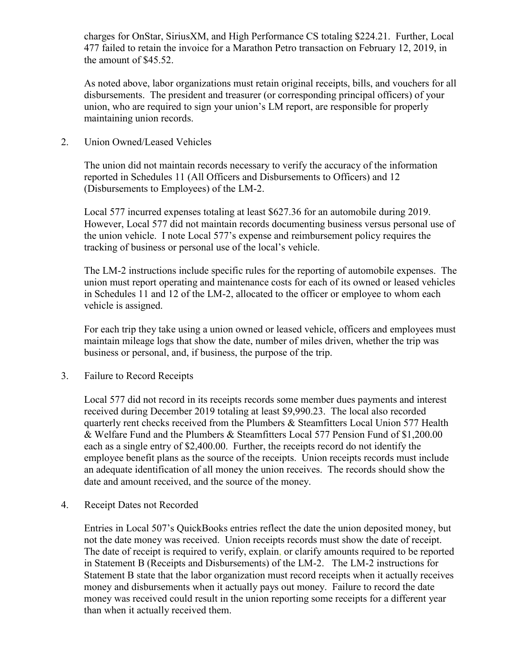charges for OnStar, SiriusXM, and High Performance CS totaling \$224.21. Further, Local 477 failed to retain the invoice for a Marathon Petro transaction on February 12, 2019, in the amount of \$45.52.

 disbursements. The president and treasurer (or corresponding principal officers) of your As noted above, labor organizations must retain original receipts, bills, and vouchers for all union, who are required to sign your union's LM report, are responsible for properly maintaining union records.

#### 2. Union Owned/Leased Vehicles

 (Disbursements to Employees) of the LM-2. The union did not maintain records necessary to verify the accuracy of the information reported in Schedules 11 (All Officers and Disbursements to Officers) and 12

 the union vehicle. I note Local 577's expense and reimbursement policy requires the tracking of business or personal use of the local's vehicle. Local 577 incurred expenses totaling at least \$627.36 for an automobile during 2019. However, Local 577 did not maintain records documenting business versus personal use of

The LM-2 instructions include specific rules for the reporting of automobile expenses. The union must report operating and maintenance costs for each of its owned or leased vehicles in Schedules 11 and 12 of the LM-2, allocated to the officer or employee to whom each vehicle is assigned.

 business or personal, and, if business, the purpose of the trip. For each trip they take using a union owned or leased vehicle, officers and employees must maintain mileage logs that show the date, number of miles driven, whether the trip was

3. Failure to Record Receipts

 received during December 2019 totaling at least \$[9,990.23.](https://9,990.23) The local also recorded employee benefit plans as the source of the receipts. Union receipts records must include date and amount received, and the source of the money. Local 577 did not record in its receipts records some member dues payments and interest quarterly rent checks received from the Plumbers & Steamfitters Local Union 577 Health & Welfare Fund and the Plumbers & Steamfitters Local 577 Pension Fund of [\\$1,200.00](https://1,200.00) each as a single entry of \$[2,400.00.](https://2,400.00) Further, the receipts record do not identify the an adequate identification of all money the union receives. The records should show the

4. Receipt Dates not Recorded

 Entries in Local 507's QuickBooks entries reflect the date the union deposited money, but The date of receipt is required to verify, explain, or clarify amounts required to be reported in Statement B (Receipts and Disbursements) of the LM-2. The LM-2 instructions for money was received could result in the union reporting some receipts for a different year not the date money was received. Union receipts records must show the date of receipt. Statement B state that the labor organization must record receipts when it actually receives money and disbursements when it actually pays out money. Failure to record the date than when it actually received them.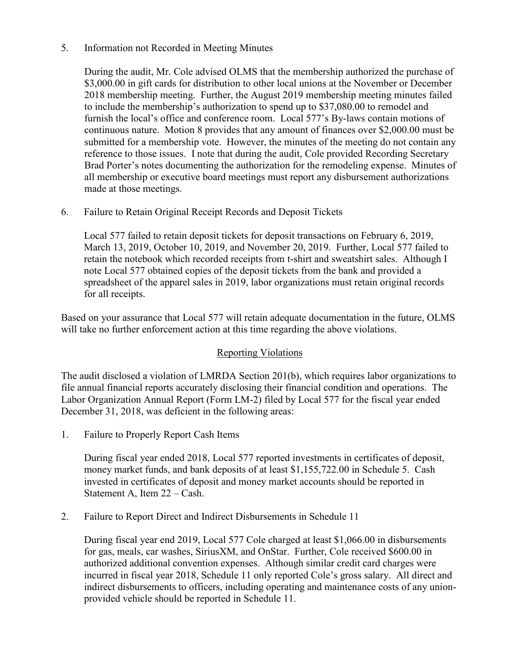### Information not Recorded in Meeting Minutes

 furnish the local's office and conference room. Local 577's By-laws contain motions of continuous nature. Motion 8 provides that any amount of finances over [\\$2,000.00](https://2,000.00) must be submitted for a membership vote. However, the minutes of the meeting do not contain any Brad Porter's notes documenting the authorization for the remodeling expense. Minutes of 5. Information not Recorded in Meeting Minutes<br>During the audit, Mr. Cole advised OLMS that the membership authorized the purchase of [\\$3,000.00](https://3,000.00) in gift cards for distribution to other local unions at the November or December 2018 membership meeting. Further, the August 2019 membership meeting minutes failed to include the membership's authorization to spend up to \$[37,080.00](https://37,080.00) to remodel and reference to those issues. I note that during the audit, Cole provided Recording Secretary all membership or executive board meetings must report any disbursement authorizations made at those meetings.

# 6. Failure to Retain Original Receipt Records and Deposit Tickets

Local 577 failed to retain deposit tickets for deposit transactions on February 6, 2019, March 13, 2019, October 10, 2019, and November 20, 2019. Further, Local 577 failed to retain the notebook which recorded receipts from t-shirt and sweatshirt sales. Although I note Local 577 obtained copies of the deposit tickets from the bank and provided a spreadsheet of the apparel sales in 2019, labor organizations must retain original records for all receipts.

 Based on your assurance that Local 577 will retain adequate documentation in the future, OLMS will take no further enforcement action at this time regarding the above violations.

# Reporting Violations

 The audit disclosed a violation of LMRDA Section 201(b), which requires labor organizations to Labor Organization Annual Report (Form LM-2) filed by Local 577 for the fiscal year ended file annual financial reports accurately disclosing their financial condition and operations. The December 31, 2018, was deficient in the following areas:

1. Failure to Properly Report Cash Items

 During fiscal year ended 2018, Local 577 reported investments in certificates of deposit, Statement A, Item 22 – Cash. money market funds, and bank deposits of at least [\\$1,155,722.00](https://1,155,722.00) in Schedule 5. Cash invested in certificates of deposit and money market accounts should be reported in

2. Failure to Report Direct and Indirect Disbursements in Schedule 11

 incurred in fiscal year 2018, Schedule 11 only reported Cole's gross salary. All direct and During fiscal year end 2019, Local 577 Cole charged at least [\\$1,066.00](https://1,066.00) in disbursements for gas, meals, car washes, SiriusXM, and OnStar. Further, Cole received \$600.00 in authorized additional convention expenses. Although similar credit card charges were indirect disbursements to officers, including operating and maintenance costs of any unionprovided vehicle should be reported in Schedule 11.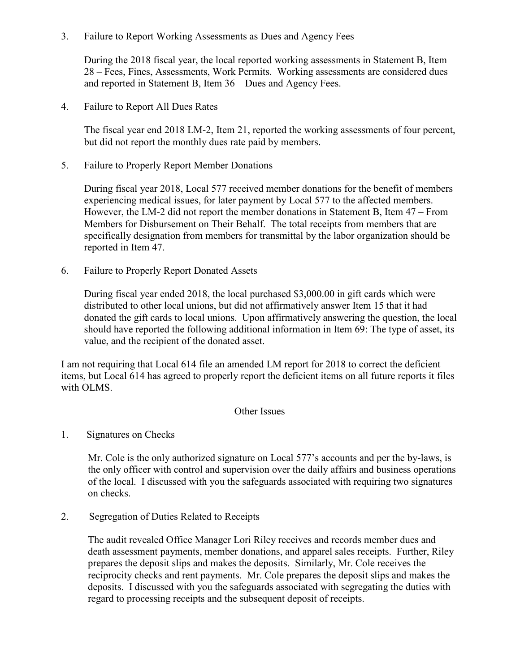3. Failure to Report Working Assessments as Dues and Agency Fees

During the 2018 fiscal year, the local reported working assessments in Statement B, Item 28 – Fees, Fines, Assessments, Work Permits. Working assessments are considered dues and reported in Statement B, Item 36 – Dues and Agency Fees.

4. Failure to Report All Dues Rates

The fiscal year end 2018 LM-2, Item 21, reported the working assessments of four percent, but did not report the monthly dues rate paid by members.

5. Failure to Properly Report Member Donations

 During fiscal year 2018, Local 577 received member donations for the benefit of members experiencing medical issues, for later payment by Local 577 to the affected members. However, the LM-2 did not report the member donations in Statement B, Item  $47 -$  From Members for Disbursement on Their Behalf. The total receipts from members that are specifically designation from members for transmittal by the labor organization should be reported in Item 47.

6. Failure to Properly Report Donated Assets

 During fiscal year ended 2018, the local purchased \$[3,000.00](https://3,000.00) in gift cards which were distributed to other local unions, but did not affirmatively answer Item 15 that it had donated the gift cards to local unions. Upon affirmatively answering the question, the local should have reported the following additional information in Item 69: The type of asset, its value, and the recipient of the donated asset.

I am not requiring that Local 614 file an amended LM report for 2018 to correct the deficient items, but Local 614 has agreed to properly report the deficient items on all future reports it files with OLMS.

# Other Issues

1. Signatures on Checks

Mr. Cole is the only authorized signature on Local 577's accounts and per the by-laws, is the only officer with control and supervision over the daily affairs and business operations of the local. I discussed with you the safeguards associated with requiring two signatures on checks.

2. Segregation of Duties Related to Receipts

> prepares the deposit slips and makes the deposits. Similarly, Mr. Cole receives the The audit revealed Office Manager Lori Riley receives and records member dues and death assessment payments, member donations, and apparel sales receipts. Further, Riley reciprocity checks and rent payments. Mr. Cole prepares the deposit slips and makes the deposits. I discussed with you the safeguards associated with segregating the duties with regard to processing receipts and the subsequent deposit of receipts.